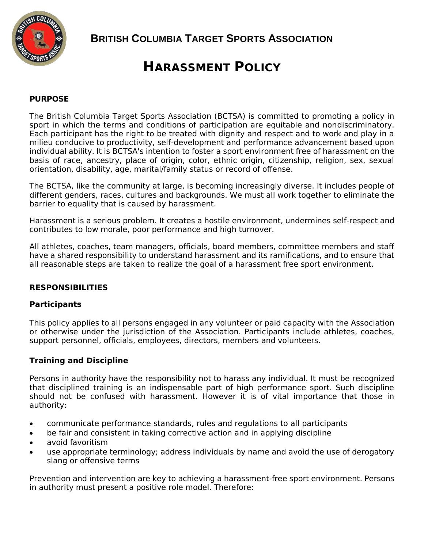

**BRITISH COLUMBIA TARGET SPORTS ASSOCIATION**

# **HARASSMENT POLICY**

## **PURPOSE**

The British Columbia Target Sports Association (BCTSA) is committed to promoting a policy in sport in which the terms and conditions of participation are equitable and nondiscriminatory. Each participant has the right to be treated with dignity and respect and to work and play in a milieu conducive to productivity, self-development and performance advancement based upon individual ability. It is BCTSA's intention to foster a sport environment free of harassment on the basis of race, ancestry, place of origin, color, ethnic origin, citizenship, religion, sex, sexual orientation, disability, age, marital/family status or record of offense.

The BCTSA, like the community at large, is becoming increasingly diverse. It includes people of different genders, races, cultures and backgrounds. We must all work together to eliminate the barrier to equality that is caused by harassment.

Harassment is a serious problem. It creates a hostile environment, undermines self-respect and contributes to low morale, poor performance and high turnover.

All athletes, coaches, team managers, officials, board members, committee members and staff have a shared responsibility to understand harassment and its ramifications, and to ensure that all reasonable steps are taken to realize the goal of a harassment free sport environment.

## **RESPONSIBILITIES**

## **Participants**

This policy applies to all persons engaged in any volunteer or paid capacity with the Association or otherwise under the jurisdiction of the Association. Participants include athletes, coaches, support personnel, officials, employees, directors, members and volunteers.

## **Training and Discipline**

Persons in authority have the responsibility not to harass any individual. It must be recognized that disciplined training is an indispensable part of high performance sport. Such discipline should not be confused with harassment. However it is of vital importance that those in authority:

- communicate performance standards, rules and regulations to all participants
- be fair and consistent in taking corrective action and in applying discipline
- avoid favoritism
- use appropriate terminology; address individuals by name and avoid the use of derogatory slang or offensive terms

Prevention and intervention are key to achieving a harassment-free sport environment. Persons in authority must present a positive role model. Therefore: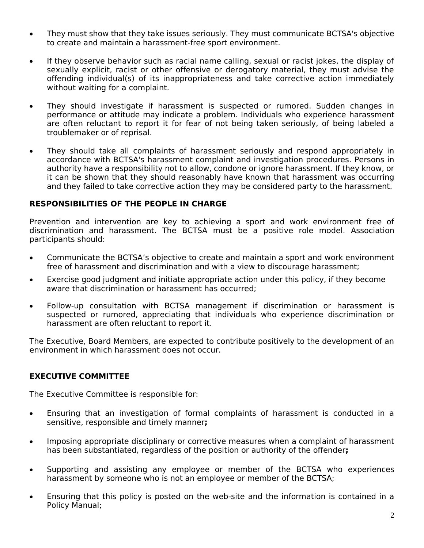- They must show that they take issues seriously. They must communicate BCTSA's objective to create and maintain a harassment-free sport environment.
- If they observe behavior such as racial name calling, sexual or racist jokes, the display of sexually explicit, racist or other offensive or derogatory material, they must advise the offending individual(s) of its inappropriateness and take corrective action immediately without waiting for a complaint.
- They should investigate if harassment is suspected or rumored. Sudden changes in performance or attitude may indicate a problem. Individuals who experience harassment are often reluctant to report it for fear of not being taken seriously, of being labeled a troublemaker or of reprisal.
- They should take all complaints of harassment seriously and respond appropriately in accordance with BCTSA's harassment complaint and investigation procedures. Persons in authority have a responsibility not to allow, condone or ignore harassment. If they know, or it can be shown that they should reasonably have known that harassment was occurring and they failed to take corrective action they may be considered party to the harassment.

## **RESPONSIBILITIES OF THE PEOPLE IN CHARGE**

Prevention and intervention are key to achieving a sport and work environment free of discrimination and harassment. The BCTSA must be a positive role model. Association participants should:

- Communicate the BCTSA's objective to create and maintain a sport and work environment free of harassment and discrimination and with a view to discourage harassment;
- Exercise good judgment and initiate appropriate action under this policy, if they become aware that discrimination or harassment has occurred;
- Follow-up consultation with BCTSA management if discrimination or harassment is suspected or rumored, appreciating that individuals who experience discrimination or harassment are often reluctant to report it.

The Executive, Board Members, are expected to contribute positively to the development of an environment in which harassment does not occur.

## **EXECUTIVE COMMITTEE**

The Executive Committee is responsible for:

- Ensuring that an investigation of formal complaints of harassment is conducted in a sensitive, responsible and timely manner**;**
- Imposing appropriate disciplinary or corrective measures when a complaint of harassment has been substantiated, regardless of the position or authority of the offender**;**
- Supporting and assisting any employee or member of the BCTSA who experiences harassment by someone who is not an employee or member of the BCTSA;
- Ensuring that this policy is posted on the web-site and the information is contained in a Policy Manual;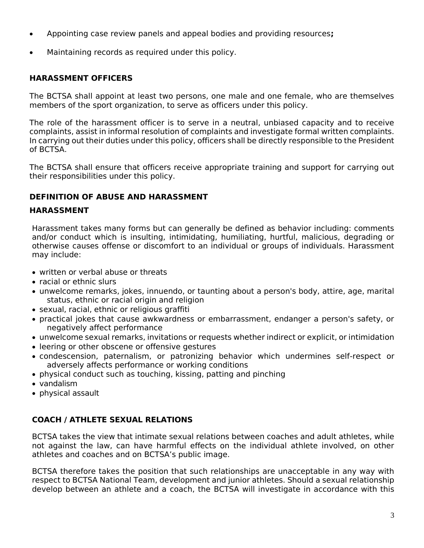- Appointing case review panels and appeal bodies and providing resources**;**
- Maintaining records as required under this policy.

## **HARASSMENT OFFICERS**

The BCTSA shall appoint at least two persons, one male and one female, who are themselves members of the sport organization, to serve as officers under this policy.

The role of the harassment officer is to serve in a neutral, unbiased capacity and to receive complaints, assist in informal resolution of complaints and investigate formal written complaints. In carrying out their duties under this policy, officers shall be directly responsible to the President of BCTSA.

The BCTSA shall ensure that officers receive appropriate training and support for carrying out their responsibilities under this policy.

## **DEFINITION OF ABUSE AND HARASSMENT**

## **HARASSMENT**

Harassment takes many forms but can generally be defined as behavior including: comments and/or conduct which is insulting, intimidating, humiliating, hurtful, malicious, degrading or otherwise causes offense or discomfort to an individual or groups of individuals. Harassment may include:

- written or verbal abuse or threats
- racial or ethnic slurs
- unwelcome remarks, jokes, innuendo, or taunting about a person's body, attire, age, marital status, ethnic or racial origin and religion
- sexual, racial, ethnic or religious graffiti
- practical jokes that cause awkwardness or embarrassment, endanger a person's safety, or negatively affect performance
- unwelcome sexual remarks, invitations or requests whether indirect or explicit, or intimidation
- leering or other obscene or offensive gestures
- condescension, paternalism, or patronizing behavior which undermines self-respect or adversely affects performance or working conditions
- physical conduct such as touching, kissing, patting and pinching
- vandalism
- physical assault

# **COACH / ATHLETE SEXUAL RELATIONS**

BCTSA takes the view that intimate sexual relations between coaches and adult athletes, while not against the law, can have harmful effects on the individual athlete involved, on other athletes and coaches and on BCTSA's public image.

BCTSA therefore takes the position that such relationships are unacceptable in any way with respect to BCTSA National Team, development and junior athletes. Should a sexual relationship develop between an athlete and a coach, the BCTSA will investigate in accordance with this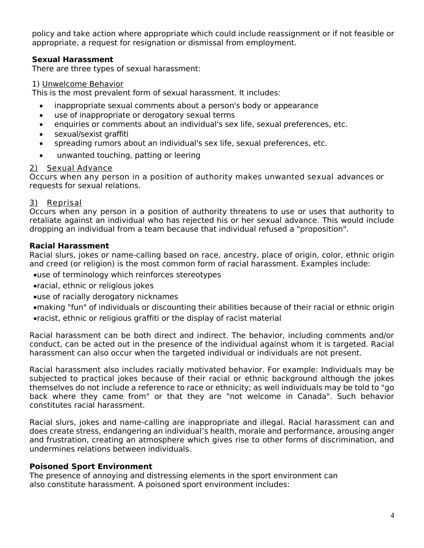policy and take action where appropriate which could include reassignment or if not feasible or appropriate, a request for resignation or dismissal from employment.

## **Sexual Harassment**

There are three types of sexual harassment:

#### 1) Unwelcome Behavior

This is the most prevalent form of sexual harassment. It includes:

- inappropriate sexual comments about a person's body or appearance
- use of inappropriate or derogatory sexual terms
- enquiries or comments about an individual's sex life, sexual preferences, etc.
- sexual/sexist graffiti
- spreading rumors about an individual's sex life, sexual preferences, etc.
- unwanted touching, patting or leering

#### 2) Sexual Advance

Occurs when any person in a position of authority makes unwanted sexual advances or requests for sexual relations.

## 3) Reprisal

Occurs when any person in a position of authority threatens to use or uses that authority to retaliate against an individual who has rejected his or her sexual advance. This would include dropping an individual from a team because that individual refused a "proposition".

## **Racial Harassment**

Racial slurs, jokes or name-calling based on race, ancestry, place of origin, color, ethnic origin and creed (or religion) is the most common form of racial harassment. Examples include:

- use of terminology which reinforces stereotypes
- racial, ethnic or religious jokes
- use of racially derogatory nicknames
- making "fun" of individuals or discounting their abilities because of their racial or ethnic origin racist, ethnic or religious graffiti or the display of racist material

Racial harassment can be both direct and indirect. The behavior, including comments and/or conduct, can be acted out in the presence of the individual against whom it is targeted. Racial harassment can also occur when the targeted individual or individuals are not present.

Racial harassment also includes racially motivated behavior. For example: Individuals may be subjected to practical jokes because of their racial or ethnic background although the jokes themselves do not include a reference to race or ethnicity; as well individuals may be told to "go back where they came from" or that they are "not welcome in Canada". Such behavior constitutes racial harassment.

Racial slurs, jokes and name-calling are inappropriate and illegal. Racial harassment can and does create stress, endangering an individual's health, morale and performance, arousing anger and frustration, creating an atmosphere which gives rise to other forms of discrimination, and undermines relations between individuals.

## **Poisoned Sport Environment**

The presence of annoying and distressing elements in the sport environment can also constitute harassment. A poisoned sport environment includes: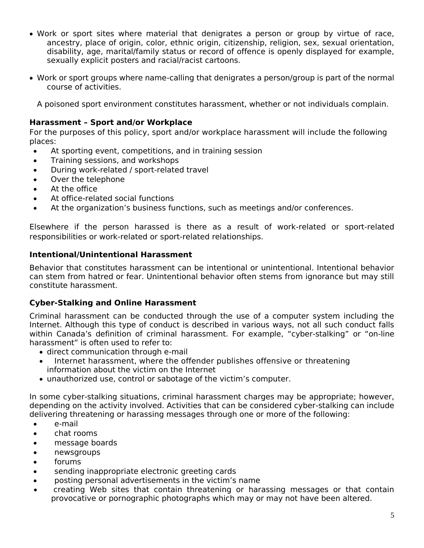- Work or sport sites where material that denigrates a person or group by virtue of race, ancestry, place of origin, color, ethnic origin, citizenship, religion, sex, sexual orientation, disability, age, marital/family status or record of offence is openly displayed for example, sexually explicit posters and racial/racist cartoons.
- Work or sport groups where name-calling that denigrates a person/group is part of the normal course of activities.

A poisoned sport environment constitutes harassment, whether or not individuals complain.

## **Harassment – Sport and/or Workplace**

For the purposes of this policy, sport and/or workplace harassment will include the following places:

- At sporting event, competitions, and in training session
- Training sessions, and workshops
- During work-related / sport-related travel
- Over the telephone
- At the office
- At office-related social functions
- At the organization's business functions, such as meetings and/or conferences.

Elsewhere if the person harassed is there as a result of work-related or sport-related responsibilities or work-related or sport-related relationships.

## **Intentional/Unintentional Harassment**

Behavior that constitutes harassment can be intentional or unintentional. Intentional behavior can stem from hatred or fear. Unintentional behavior often stems from ignorance but may still constitute harassment.

## **Cyber-Stalking and Online Harassment**

Criminal harassment can be conducted through the use of a computer system including the Internet. Although this type of conduct is described in various ways, not all such conduct falls within Canada's definition of criminal harassment. For example, "cyber-stalking" or "on-line harassment" is often used to refer to:

- direct communication through e-mail
- Internet harassment, where the offender publishes offensive or threatening information about the victim on the Internet
- unauthorized use, control or sabotage of the victim's computer.

In some cyber-stalking situations, criminal harassment charges may be appropriate; however, depending on the activity involved. Activities that can be considered cyber-stalking can include delivering threatening or harassing messages through one or more of the following:

- e-mail
- chat rooms
- message boards
- newsgroups
- forums
- sending inappropriate electronic greeting cards
- posting personal advertisements in the victim's name
- creating Web sites that contain threatening or harassing messages or that contain provocative or pornographic photographs which may or may not have been altered.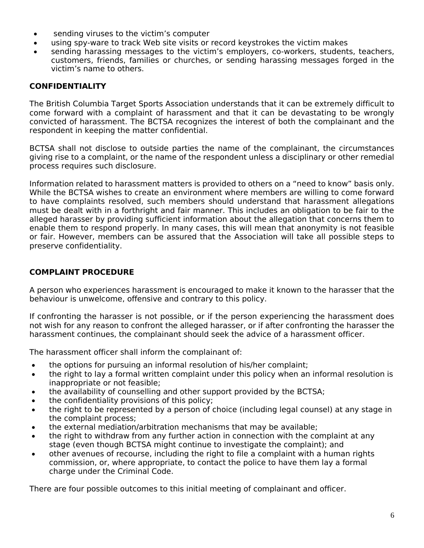- sending viruses to the victim's computer
- using spy-ware to track Web site visits or record keystrokes the victim makes
- sending harassing messages to the victim's employers, co-workers, students, teachers, customers, friends, families or churches, or sending harassing messages forged in the victim's name to others.

## **CONFIDENTIALITY**

The British Columbia Target Sports Association understands that it can be extremely difficult to come forward with a complaint of harassment and that it can be devastating to be wrongly convicted of harassment. The BCTSA recognizes the interest of both the complainant and the respondent in keeping the matter confidential.

BCTSA shall not disclose to outside parties the name of the complainant, the circumstances giving rise to a complaint, or the name of the respondent unless a disciplinary or other remedial process requires such disclosure.

Information related to harassment matters is provided to others on a "need to know" basis only. While the BCTSA wishes to create an environment where members are willing to come forward to have complaints resolved, such members should understand that harassment allegations must be dealt with in a forthright and fair manner. This includes an obligation to be fair to the alleged harasser by providing sufficient information about the allegation that concerns them to enable them to respond properly. In many cases, this will mean that anonymity is not feasible or fair. However, members can be assured that the Association will take all possible steps to preserve confidentiality.

## **COMPLAINT PROCEDURE**

A person who experiences harassment is encouraged to make it known to the harasser that the behaviour is unwelcome, offensive and contrary to this policy.

If confronting the harasser is not possible, or if the person experiencing the harassment does not wish for any reason to confront the alleged harasser, or if after confronting the harasser the harassment continues, the complainant should seek the advice of a harassment officer.

The harassment officer shall inform the complainant of:

- the options for pursuing an informal resolution of his/her complaint;
- the right to lay a formal written complaint under this policy when an informal resolution is inappropriate or not feasible;
- the availability of counselling and other support provided by the BCTSA;
- the confidentiality provisions of this policy;
- the right to be represented by a person of choice (including legal counsel) at any stage in the complaint process;
- the external mediation/arbitration mechanisms that may be available;
- the right to withdraw from any further action in connection with the complaint at any stage (even though BCTSA might continue to investigate the complaint); and
- other avenues of recourse, including the right to file a complaint with a human rights commission, or, where appropriate, to contact the police to have them lay a formal charge under the Criminal Code.

There are four possible outcomes to this initial meeting of complainant and officer.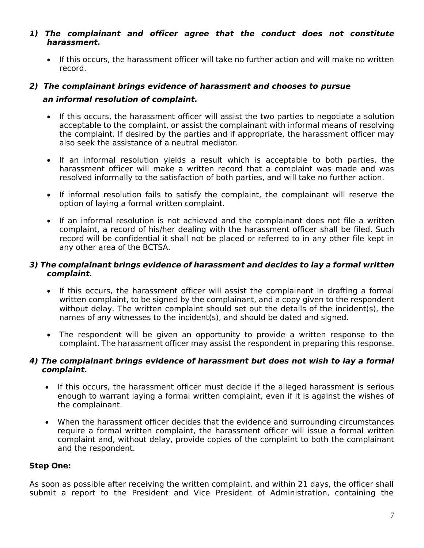#### *1) The complainant and officer agree that the conduct does not constitute harassment.*

• If this occurs, the harassment officer will take no further action and will make no written record.

# *2) The complainant brings evidence of harassment and chooses to pursue an informal resolution of complaint.*

- If this occurs, the harassment officer will assist the two parties to negotiate a solution acceptable to the complaint, or assist the complainant with informal means of resolving the complaint. If desired by the parties and if appropriate, the harassment officer may also seek the assistance of a neutral mediator.
- If an informal resolution yields a result which is acceptable to both parties, the harassment officer will make a written record that a complaint was made and was resolved informally to the satisfaction of both parties, and will take no further action.
- If informal resolution fails to satisfy the complaint, the complainant will reserve the option of laying a formal written complaint.
- If an informal resolution is not achieved and the complainant does not file a written complaint, a record of his/her dealing with the harassment officer shall be filed. Such record will be confidential it shall not be placed or referred to in any other file kept in any other area of the BCTSA.

## *3) The complainant brings evidence of harassment and decides to lay a formal written complaint.*

- If this occurs, the harassment officer will assist the complainant in drafting a formal written complaint, to be signed by the complainant, and a copy given to the respondent without delay. The written complaint should set out the details of the incident(s), the names of any witnesses to the incident(s), and should be dated and signed.
- The respondent will be given an opportunity to provide a written response to the complaint. The harassment officer may assist the respondent in preparing this response.

#### *4) The complainant brings evidence of harassment but does not wish to lay a formal complaint.*

- If this occurs, the harassment officer must decide if the alleged harassment is serious enough to warrant laying a formal written complaint, even if it is against the wishes of the complainant.
- When the harassment officer decides that the evidence and surrounding circumstances require a formal written complaint, the harassment officer will issue a formal written complaint and, without delay, provide copies of the complaint to both the complainant and the respondent.

## **Step One:**

As soon as possible after receiving the written complaint, and within 21 days, the officer shall submit a report to the President and Vice President of Administration, containing the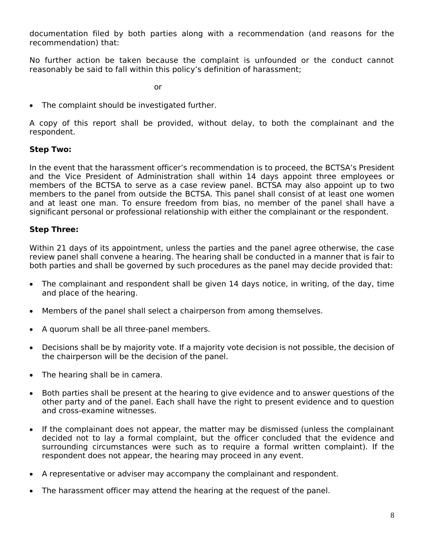documentation filed by both parties along with a recommendation (and reasons for the recommendation) that:

No further action be taken because the complaint is unfounded or the conduct cannot reasonably be said to fall within this policy's definition of harassment;

or

• The complaint should be investigated further.

A copy of this report shall be provided, without delay, to both the complainant and the respondent.

## **Step Two:**

In the event that the harassment officer's recommendation is to proceed, the BCTSA's President and the Vice President of Administration shall within 14 days appoint three employees or members of the BCTSA to serve as a case review panel. BCTSA may also appoint up to two members to the panel from outside the BCTSA. This panel shall consist of at least one women and at least one man. To ensure freedom from bias, no member of the panel shall have a significant personal or professional relationship with either the complainant or the respondent.

#### **Step Three:**

Within 21 days of its appointment, unless the parties and the panel agree otherwise, the case review panel shall convene a hearing. The hearing shall be conducted in a manner that is fair to both parties and shall be governed by such procedures as the panel may decide provided that:

- The complainant and respondent shall be given 14 days notice, in writing, of the day, time and place of the hearing.
- Members of the panel shall select a chairperson from among themselves.
- A quorum shall be all three-panel members.
- Decisions shall be by majority vote. If a majority vote decision is not possible, the decision of the chairperson will be the decision of the panel.
- The hearing shall be in camera.
- Both parties shall be present at the hearing to give evidence and to answer questions of the other party and of the panel. Each shall have the right to present evidence and to question and cross-examine witnesses.
- If the complainant does not appear, the matter may be dismissed (unless the complainant decided not to lay a formal complaint, but the officer concluded that the evidence and surrounding circumstances were such as to require a formal written complaint). If the respondent does not appear, the hearing may proceed in any event.
- A representative or adviser may accompany the complainant and respondent.
- The harassment officer may attend the hearing at the request of the panel.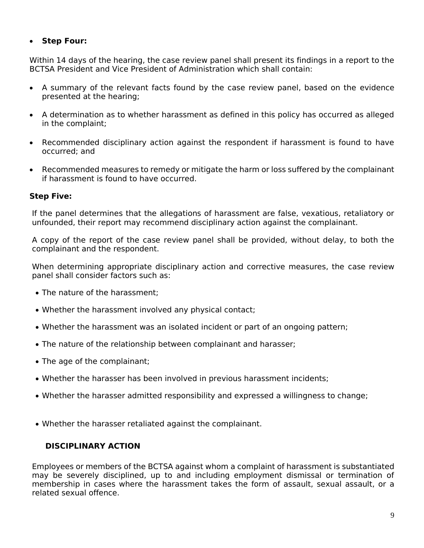## **Step Four:**

Within 14 days of the hearing, the case review panel shall present its findings in a report to the BCTSA President and Vice President of Administration which shall contain:

- A summary of the relevant facts found by the case review panel, based on the evidence presented at the hearing;
- A determination as to whether harassment as defined in this policy has occurred as alleged in the complaint;
- Recommended disciplinary action against the respondent if harassment is found to have occurred; and
- Recommended measures to remedy or mitigate the harm or loss suffered by the complainant if harassment is found to have occurred.

## **Step Five:**

If the panel determines that the allegations of harassment are false, vexatious, retaliatory or unfounded, their report may recommend disciplinary action against the complainant.

A copy of the report of the case review panel shall be provided, without delay, to both the complainant and the respondent.

When determining appropriate disciplinary action and corrective measures, the case review panel shall consider factors such as:

- The nature of the harassment:
- Whether the harassment involved any physical contact;
- Whether the harassment was an isolated incident or part of an ongoing pattern;
- The nature of the relationship between complainant and harasser;
- The age of the complainant;
- Whether the harasser has been involved in previous harassment incidents;
- Whether the harasser admitted responsibility and expressed a willingness to change;
- Whether the harasser retaliated against the complainant.

## **DISCIPLINARY ACTION**

Employees or members of the BCTSA against whom a complaint of harassment is substantiated may be severely disciplined, up to and including employment dismissal or termination of membership in cases where the harassment takes the form of assault, sexual assault, or a related sexual offence.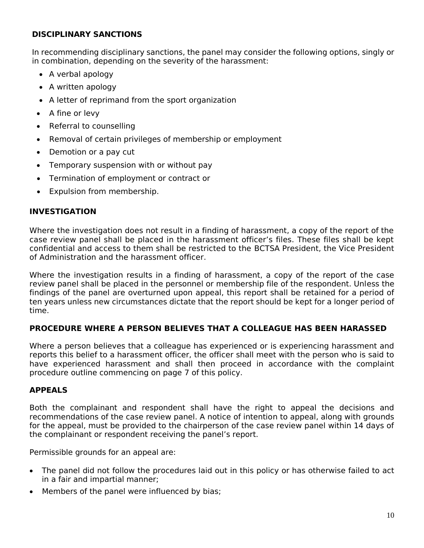## **DISCIPLINARY SANCTIONS**

In recommending disciplinary sanctions, the panel may consider the following options, singly or in combination, depending on the severity of the harassment:

- A verbal apology
- A written apology
- A letter of reprimand from the sport organization
- $\bullet$  A fine or levy
- Referral to counselling
- Removal of certain privileges of membership or employment
- Demotion or a pay cut
- Temporary suspension with or without pay
- Termination of employment or contract or
- Expulsion from membership.

## **INVESTIGATION**

Where the investigation does not result in a finding of harassment, a copy of the report of the case review panel shall be placed in the harassment officer's files. These files shall be kept confidential and access to them shall be restricted to the BCTSA President, the Vice President of Administration and the harassment officer.

Where the investigation results in a finding of harassment, a copy of the report of the case review panel shall be placed in the personnel or membership file of the respondent. Unless the findings of the panel are overturned upon appeal, this report shall be retained for a period of ten years unless new circumstances dictate that the report should be kept for a longer period of time.

## **PROCEDURE WHERE A PERSON BELIEVES THAT A COLLEAGUE HAS BEEN HARASSED**

Where a person believes that a colleague has experienced or is experiencing harassment and reports this belief to a harassment officer, the officer shall meet with the person who is said to have experienced harassment and shall then proceed in accordance with the complaint procedure outline commencing on page 7 of this policy.

## **APPEALS**

Both the complainant and respondent shall have the right to appeal the decisions and recommendations of the case review panel. A notice of intention to appeal, along with grounds for the appeal, must be provided to the chairperson of the case review panel within 14 days of the complainant or respondent receiving the panel's report.

Permissible grounds for an appeal are:

- The panel did not follow the procedures laid out in this policy or has otherwise failed to act in a fair and impartial manner;
- Members of the panel were influenced by bias;